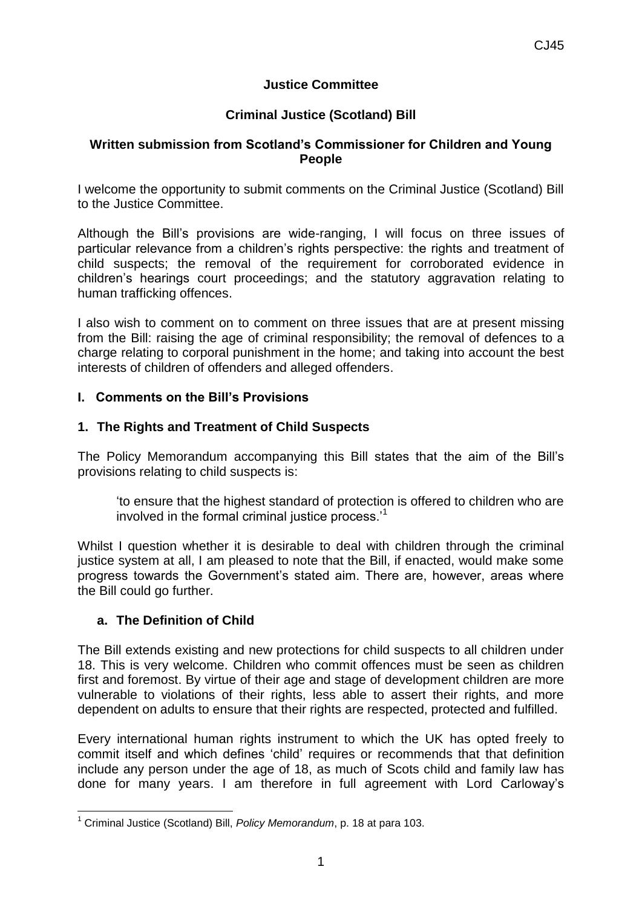## **Justice Committee**

# **Criminal Justice (Scotland) Bill**

#### **Written submission from Scotland's Commissioner for Children and Young People**

I welcome the opportunity to submit comments on the Criminal Justice (Scotland) Bill to the Justice Committee.

Although the Bill's provisions are wide-ranging, I will focus on three issues of particular relevance from a children's rights perspective: the rights and treatment of child suspects; the removal of the requirement for corroborated evidence in children's hearings court proceedings; and the statutory aggravation relating to human trafficking offences.

I also wish to comment on to comment on three issues that are at present missing from the Bill: raising the age of criminal responsibility; the removal of defences to a charge relating to corporal punishment in the home; and taking into account the best interests of children of offenders and alleged offenders.

### **I. Comments on the Bill's Provisions**

### **1. The Rights and Treatment of Child Suspects**

The Policy Memorandum accompanying this Bill states that the aim of the Bill's provisions relating to child suspects is:

'to ensure that the highest standard of protection is offered to children who are involved in the formal criminal justice process.'<sup>1</sup>

Whilst I question whether it is desirable to deal with children through the criminal justice system at all, I am pleased to note that the Bill, if enacted, would make some progress towards the Government's stated aim. There are, however, areas where the Bill could go further.

## **a. The Definition of Child**

The Bill extends existing and new protections for child suspects to all children under 18. This is very welcome. Children who commit offences must be seen as children first and foremost. By virtue of their age and stage of development children are more vulnerable to violations of their rights, less able to assert their rights, and more dependent on adults to ensure that their rights are respected, protected and fulfilled.

Every international human rights instrument to which the UK has opted freely to commit itself and which defines 'child' requires or recommends that that definition include any person under the age of 18, as much of Scots child and family law has done for many years. I am therefore in full agreement with Lord Carloway's

 $\overline{\phantom{a}}$ <sup>1</sup> Criminal Justice (Scotland) Bill, *Policy Memorandum*, p. 18 at para 103.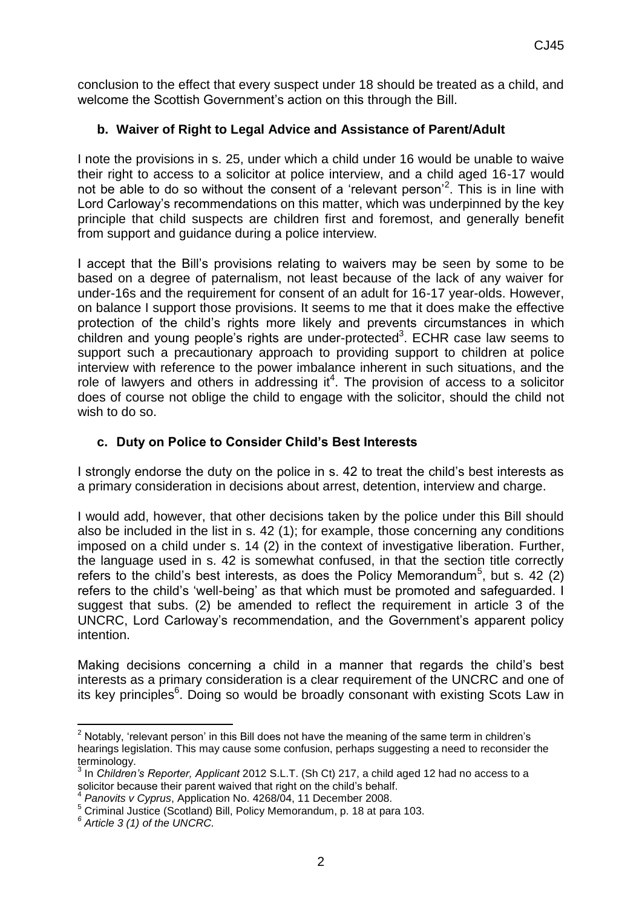conclusion to the effect that every suspect under 18 should be treated as a child, and welcome the Scottish Government's action on this through the Bill.

# **b. Waiver of Right to Legal Advice and Assistance of Parent/Adult**

I note the provisions in s. 25, under which a child under 16 would be unable to waive their right to access to a solicitor at police interview, and a child aged 16-17 would not be able to do so without the consent of a 'relevant person'<sup>2</sup>. This is in line with Lord Carloway's recommendations on this matter, which was underpinned by the key principle that child suspects are children first and foremost, and generally benefit from support and guidance during a police interview.

I accept that the Bill's provisions relating to waivers may be seen by some to be based on a degree of paternalism, not least because of the lack of any waiver for under-16s and the requirement for consent of an adult for 16-17 year-olds. However, on balance I support those provisions. It seems to me that it does make the effective protection of the child's rights more likely and prevents circumstances in which children and young people's rights are under-protected<sup>3</sup>. ECHR case law seems to support such a precautionary approach to providing support to children at police interview with reference to the power imbalance inherent in such situations, and the role of lawyers and others in addressing it<sup>4</sup>. The provision of access to a solicitor does of course not oblige the child to engage with the solicitor, should the child not wish to do so.

## **c. Duty on Police to Consider Child's Best Interests**

I strongly endorse the duty on the police in s. 42 to treat the child's best interests as a primary consideration in decisions about arrest, detention, interview and charge.

I would add, however, that other decisions taken by the police under this Bill should also be included in the list in s. 42 (1); for example, those concerning any conditions imposed on a child under s. 14 (2) in the context of investigative liberation. Further, the language used in s. 42 is somewhat confused, in that the section title correctly refers to the child's best interests, as does the Policy Memorandum<sup>5</sup>, but s. 42 (2) refers to the child's 'well-being' as that which must be promoted and safeguarded. I suggest that subs. (2) be amended to reflect the requirement in article 3 of the UNCRC, Lord Carloway's recommendation, and the Government's apparent policy intention.

Making decisions concerning a child in a manner that regards the child's best interests as a primary consideration is a clear requirement of the UNCRC and one of its key principles<sup>6</sup>. Doing so would be broadly consonant with existing Scots Law in

**<sup>.</sup>**  $2$  Notably, 'relevant person' in this Bill does not have the meaning of the same term in children's hearings legislation. This may cause some confusion, perhaps suggesting a need to reconsider the terminology.

<sup>3</sup> In *Children's Reporter, Applicant* 2012 S.L.T. (Sh Ct) 217, a child aged 12 had no access to a solicitor because their parent waived that right on the child's behalf.<br>4 Benaulte y Cunrue, Application No. 4268/04, 11 December 2009.

*Panovits v Cyprus*, Application No. 4268/04, 11 December 2008.

<sup>5</sup> Criminal Justice (Scotland) Bill, Policy Memorandum, p. 18 at para 103.

*<sup>6</sup> Article 3 (1) of the UNCRC.*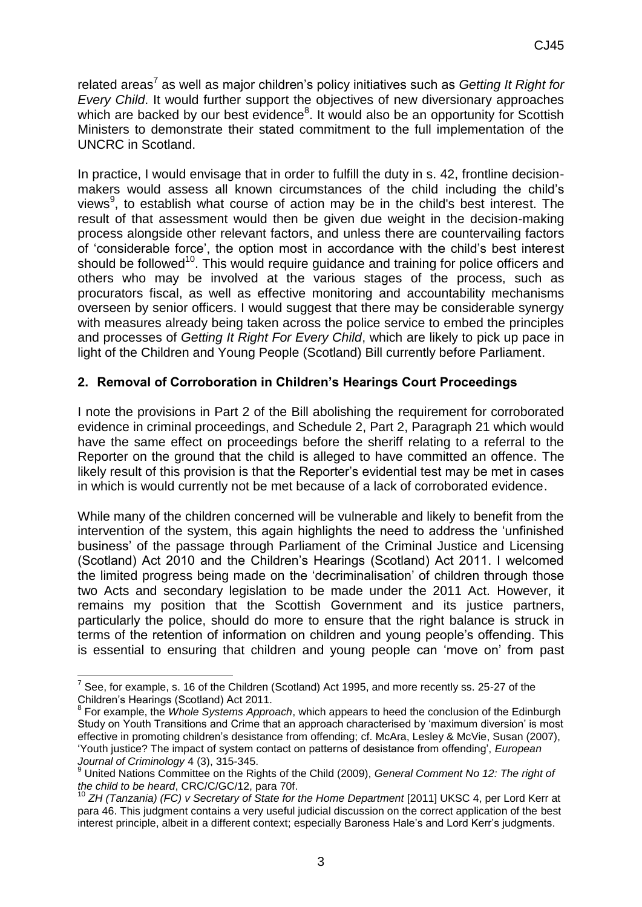related areas<sup>7</sup> as well as major children's policy initiatives such as *Getting It Right for Every Child*. It would further support the objectives of new diversionary approaches which are backed by our best evidence<sup>8</sup>. It would also be an opportunity for Scottish Ministers to demonstrate their stated commitment to the full implementation of the UNCRC in Scotland.

In practice, I would envisage that in order to fulfill the duty in s. 42, frontline decisionmakers would assess all known circumstances of the child including the child's views<sup>9</sup>, to establish what course of action may be in the child's best interest. The result of that assessment would then be given due weight in the decision-making process alongside other relevant factors, and unless there are countervailing factors of 'considerable force', the option most in accordance with the child's best interest should be followed<sup>10</sup>. This would require guidance and training for police officers and others who may be involved at the various stages of the process, such as procurators fiscal, as well as effective monitoring and accountability mechanisms overseen by senior officers. I would suggest that there may be considerable synergy with measures already being taken across the police service to embed the principles and processes of *Getting It Right For Every Child*, which are likely to pick up pace in light of the Children and Young People (Scotland) Bill currently before Parliament.

## **2. Removal of Corroboration in Children's Hearings Court Proceedings**

I note the provisions in Part 2 of the Bill abolishing the requirement for corroborated evidence in criminal proceedings, and Schedule 2, Part 2, Paragraph 21 which would have the same effect on proceedings before the sheriff relating to a referral to the Reporter on the ground that the child is alleged to have committed an offence. The likely result of this provision is that the Reporter's evidential test may be met in cases in which is would currently not be met because of a lack of corroborated evidence.

While many of the children concerned will be vulnerable and likely to benefit from the intervention of the system, this again highlights the need to address the 'unfinished business' of the passage through Parliament of the Criminal Justice and Licensing (Scotland) Act 2010 and the Children's Hearings (Scotland) Act 2011. I welcomed the limited progress being made on the 'decriminalisation' of children through those two Acts and secondary legislation to be made under the 2011 Act. However, it remains my position that the Scottish Government and its justice partners, particularly the police, should do more to ensure that the right balance is struck in terms of the retention of information on children and young people's offending. This is essential to ensuring that children and young people can 'move on' from past

1

 $<sup>7</sup>$  See, for example, s. 16 of the Children (Scotland) Act 1995, and more recently ss. 25-27 of the</sup> Children's Hearings (Scotland) Act 2011. 8 For example, the *Whole Systems Approach*, which appears to heed the conclusion of the Edinburgh

Study on Youth Transitions and Crime that an approach characterised by 'maximum diversion' is most effective in promoting children's desistance from offending; cf. McAra, Lesley & McVie, Susan (2007), 'Youth justice? The impact of system contact on patterns of desistance from offending', *European Journal of Criminology* 4 (3), 315-345.

<sup>9</sup> United Nations Committee on the Rights of the Child (2009), *General Comment No 12: The right of the child to be heard*, CRC/C/GC/12, para 70f.

<sup>&</sup>lt;sup>10</sup> ZH (Tanzania) (FC) v Secretary of State for the Home Department [2011] UKSC 4, per Lord Kerr at para 46. This judgment contains a very useful judicial discussion on the correct application of the best interest principle, albeit in a different context; especially Baroness Hale's and Lord Kerr's judgments.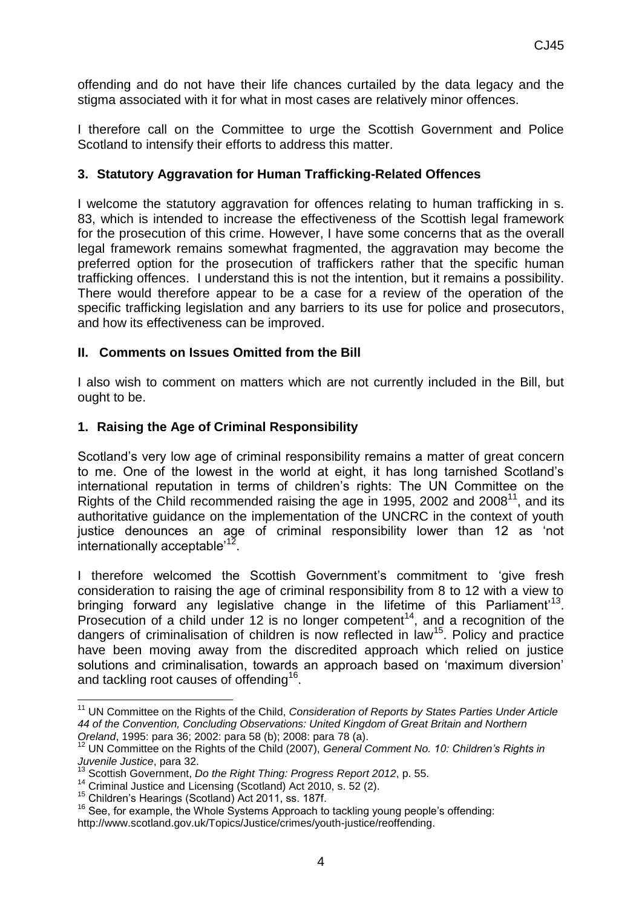offending and do not have their life chances curtailed by the data legacy and the stigma associated with it for what in most cases are relatively minor offences.

I therefore call on the Committee to urge the Scottish Government and Police Scotland to intensify their efforts to address this matter.

### **3. Statutory Aggravation for Human Trafficking-Related Offences**

I welcome the statutory aggravation for offences relating to human trafficking in s. 83, which is intended to increase the effectiveness of the Scottish legal framework for the prosecution of this crime. However, I have some concerns that as the overall legal framework remains somewhat fragmented, the aggravation may become the preferred option for the prosecution of traffickers rather that the specific human trafficking offences. I understand this is not the intention, but it remains a possibility. There would therefore appear to be a case for a review of the operation of the specific trafficking legislation and any barriers to its use for police and prosecutors, and how its effectiveness can be improved.

### **II. Comments on Issues Omitted from the Bill**

I also wish to comment on matters which are not currently included in the Bill, but ought to be.

### **1. Raising the Age of Criminal Responsibility**

Scotland's very low age of criminal responsibility remains a matter of great concern to me. One of the lowest in the world at eight, it has long tarnished Scotland's international reputation in terms of children's rights: The UN Committee on the Rights of the Child recommended raising the age in 1995, 2002 and 2008<sup>11</sup>, and its authoritative guidance on the implementation of the UNCRC in the context of youth justice denounces an age of criminal responsibility lower than 12 as 'not internationally acceptable<sup> $12$ </sup>.

I therefore welcomed the Scottish Government's commitment to 'give fresh consideration to raising the age of criminal responsibility from 8 to 12 with a view to bringing forward any legislative change in the lifetime of this Parliament'<sup>13</sup>. Prosecution of a child under 12 is no longer competent<sup>14</sup>, and a recognition of the dangers of criminalisation of children is now reflected in law<sup>15</sup>. Policy and practice have been moving away from the discredited approach which relied on justice solutions and criminalisation, towards an approach based on 'maximum diversion' and tackling root causes of offending<sup>16</sup>.

 $\overline{\phantom{a}}$ <sup>11</sup> UN Committee on the Rights of the Child, *Consideration of Reports by States Parties Under Article 44 of the Convention, Concluding Observations: United Kingdom of Great Britain and Northern Oreland*, 1995: para 36; 2002: para 58 (b); 2008: para 78 (a).

<sup>&</sup>lt;sup>12</sup> UN Committee on the Rights of the Child (2007), *General Comment No. 10: Children's Rights in Juvenile Justice*, para 32.

<sup>13</sup> Scottish Government, *Do the Right Thing: Progress Report 2012*, p. 55.

<sup>&</sup>lt;sup>14</sup> Criminal Justice and Licensing (Scotland) Act 2010, s. 52 (2).

<sup>15</sup> Children's Hearings (Scotland) Act 2011, ss. 187f.

<sup>&</sup>lt;sup>16</sup> See, for example, the Whole Systems Approach to tackling young people's offending: http://www.scotland.gov.uk/Topics/Justice/crimes/youth-justice/reoffending.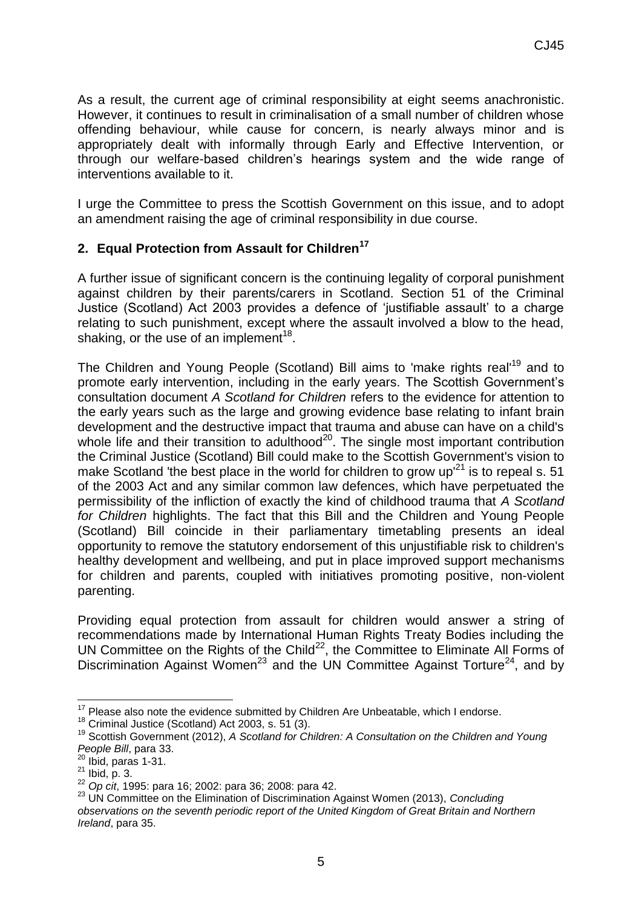As a result, the current age of criminal responsibility at eight seems anachronistic. However, it continues to result in criminalisation of a small number of children whose offending behaviour, while cause for concern, is nearly always minor and is appropriately dealt with informally through Early and Effective Intervention, or through our welfare-based children's hearings system and the wide range of interventions available to it.

I urge the Committee to press the Scottish Government on this issue, and to adopt an amendment raising the age of criminal responsibility in due course.

## **2. Equal Protection from Assault for Children<sup>17</sup>**

A further issue of significant concern is the continuing legality of corporal punishment against children by their parents/carers in Scotland. Section 51 of the Criminal Justice (Scotland) Act 2003 provides a defence of 'justifiable assault' to a charge relating to such punishment, except where the assault involved a blow to the head, shaking, or the use of an implement<sup>18</sup>.

The Children and Young People (Scotland) Bill aims to 'make rights real'<sup>19</sup> and to promote early intervention, including in the early years. The Scottish Government's consultation document *A Scotland for Children* refers to the evidence for attention to the early years such as the large and growing evidence base relating to infant brain development and the destructive impact that trauma and abuse can have on a child's whole life and their transition to adulthood $20$ . The single most important contribution the Criminal Justice (Scotland) Bill could make to the Scottish Government's vision to make Scotland 'the best place in the world for children to grow up<sup> $21$ </sup> is to repeal s. 51 of the 2003 Act and any similar common law defences, which have perpetuated the permissibility of the infliction of exactly the kind of childhood trauma that *A Scotland for Children* highlights. The fact that this Bill and the Children and Young People (Scotland) Bill coincide in their parliamentary timetabling presents an ideal opportunity to remove the statutory endorsement of this unjustifiable risk to children's healthy development and wellbeing, and put in place improved support mechanisms for children and parents, coupled with initiatives promoting positive, non-violent parenting.

Providing equal protection from assault for children would answer a string of recommendations made by International Human Rights Treaty Bodies including the UN Committee on the Rights of the Child<sup>22</sup>, the Committee to Eliminate All Forms of Discrimination Against Women<sup>23</sup> and the UN Committee Against Torture<sup>24</sup>, and by

**<sup>.</sup>**  $17$  Please also note the evidence submitted by Children Are Unbeatable, which I endorse.

<sup>&</sup>lt;sup>18</sup> Criminal Justice (Scotland) Act 2003, s. 51 (3).

<sup>&</sup>lt;sup>19</sup> Scottish Government (2012), A Scotland for Children: A Consultation on the Children and Young *People Bill*, para 33.

 $20$  Ibid, paras 1-31.

 $21$  Ibid, p. 3.

<sup>22</sup> *Op cit*, 1995: para 16; 2002: para 36; 2008: para 42.

<sup>23</sup> UN Committee on the Elimination of Discrimination Against Women (2013), *Concluding observations on the seventh periodic report of the United Kingdom of Great Britain and Northern Ireland*, para 35.